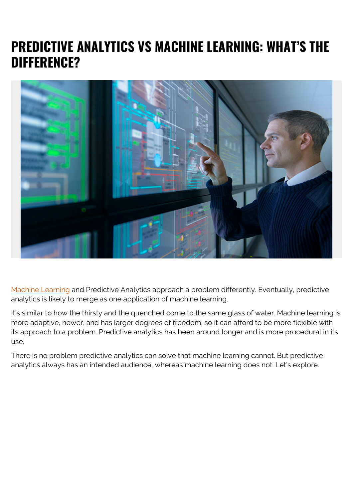# **PREDICTIVE ANALYTICS VS MACHINE LEARNING: WHAT'S THE DIFFERENCE?**



[Machine Learning](https://blogs.bmc.com/blogs/machine-learning-hype-vs-reality/) and Predictive Analytics approach a problem differently. Eventually, predictive analytics is likely to merge as one application of machine learning.

It's similar to how the thirsty and the quenched come to the same glass of water. Machine learning is more adaptive, newer, and has larger degrees of freedom, so it can afford to be more flexible with its approach to a problem. Predictive analytics has been around longer and is more procedural in its use.

There is no problem predictive analytics can solve that machine learning cannot. But predictive analytics always has an intended audience, whereas machine learning does not. Let's explore.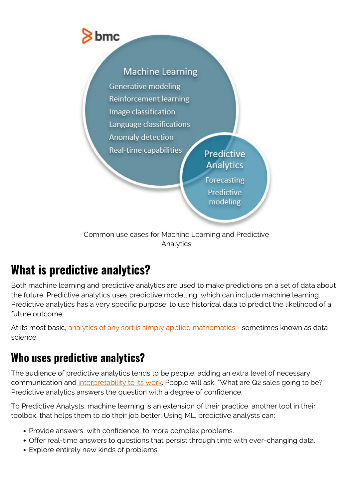

# **What is predictive analytics?**

Both machine learning and predictive analytics are used to make predictions on a set of data about the future. Predictive analytics uses predictive modelling, which can include machine learning. Predictive analytics has a very specific purpose: to use historical data to predict the likelihood of a future outcome.

At its most basic, [analytics of any sort is simply applied mathematics](https://blogs.bmc.com/blogs/big-data-vs-analytics/)—sometimes known as data science.

#### **Who uses predictive analytics?**

The audience of predictive analytics tends to be people, adding an extra level of necessary communication and [interpretability to its work](https://blogs.bmc.com/blogs/machine-learning-interpretability-vs-explainability/). People will ask, "What are Q2 sales going to be?" Predictive analytics answers the question with a degree of confidence.

To Predictive Analysts, machine learning is an extension of their practice, another tool in their toolbox, that helps them to do their job better. Using ML, predictive analysts can:

- Provide answers, with confidence, to more complex problems.
- Offer real-time answers to questions that persist through time with ever-changing data.
- Explore entirely new kinds of problems.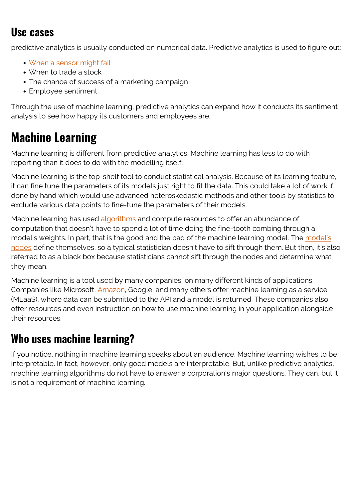#### **Use cases**

predictive analytics is usually conducted on numerical data. Predictive analytics is used to figure out:

- [When a sensor might fail](https://blogs.bmc.com/blogs/why-event-noise-reduction-and-predictive-alerting-are-critical-for-aiops/)
- When to trade a stock
- The chance of success of a marketing campaign
- Employee sentiment

Through the use of machine learning, predictive analytics can expand how it conducts its sentiment analysis to see how happy its customers and employees are.

## **Machine Learning**

Machine learning is different from predictive analytics. Machine learning has less to do with reporting than it does to do with the modelling itself.

Machine learning is the top-shelf tool to conduct statistical analysis. Because of its learning feature, it can fine tune the parameters of its models just right to fit the data. This could take a lot of work if done by hand which would use advanced heteroskedastic methods and other tools by statistics to exclude various data points to fine-tune the parameters of their models.

Machine learning has used [algorithms](https://blogs.bmc.com/blogs/machine-learning-algorithms/) and compute resources to offer an abundance of computation that doesn't have to spend a lot of time doing the fine-tooth combing through a [model's](https://blogs.bmc.com/blogs/deep-neural-network/) weights. In part, that is the good and the bad of the machine learning model. The model's [nodes](https://blogs.bmc.com/blogs/deep-neural-network/) define themselves, so a typical statistician doesn't have to sift through them. But then, it's also referred to as a black box because statisticians cannot sift through the nodes and determine what they mean.

Machine learning is a tool used by many companies, on many different kinds of applications. Companies like Microsoft, [Amazon,](https://blogs.bmc.com/blogs/amazon-sagemaker/) Google, and many others offer machine learning as a service (MLaaS), where data can be submitted to the API and a model is returned. These companies also offer resources and even instruction on how to use machine learning in your application alongside their resources.

### **Who uses machine learning?**

If you notice, nothing in machine learning speaks about an audience. Machine learning wishes to be interpretable. In fact, however, only good models are interpretable. But, unlike predictive analytics, machine learning algorithms do not have to answer a corporation's major questions. They can, but it is not a requirement of machine learning.